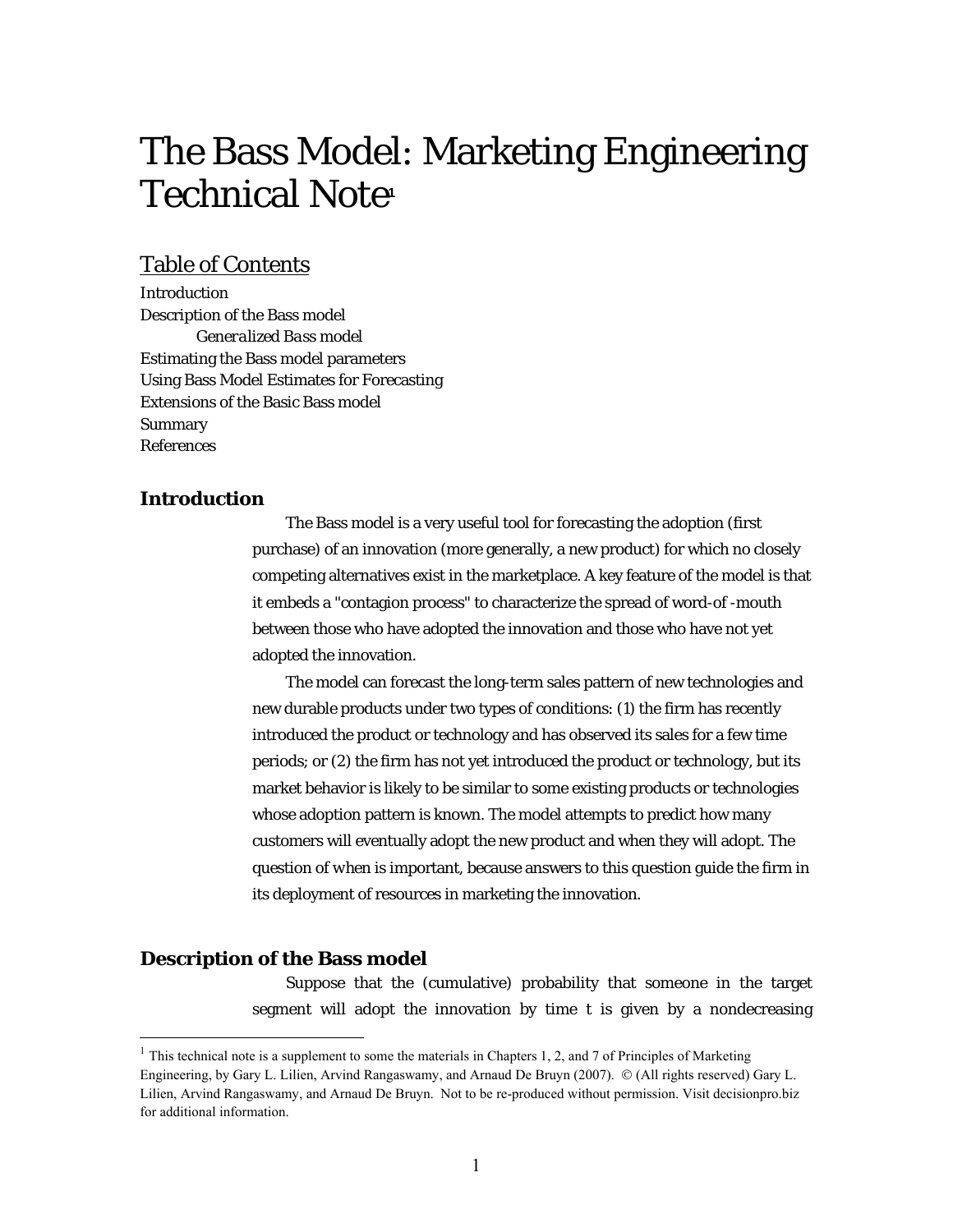# The Bass Model: Marketing Engineering Technical Note**<sup>1</sup>**

## Table of Contents

Introduction Description of the Bass model *Generalized Bass model* Estimating the Bass model parameters Using Bass Model Estimates for Forecasting Extensions of the Basic Bass model Summary References

## **Introduction**

The Bass model is a very useful tool for forecasting the adoption (first purchase) of an innovation (more generally, a new product) for which no closely competing alternatives exist in the marketplace. A key feature of the model is that it embeds a "contagion process" to characterize the spread of word-of -mouth between those who have adopted the innovation and those who have not yet adopted the innovation.

The model can forecast the long-term sales pattern of new technologies and new durable products under two types of conditions: (1) the firm has recently introduced the product or technology and has observed its sales for a few time periods; or (2) the firm has not yet introduced the product or technology, but its market behavior is likely to be similar to some existing products or technologies whose adoption pattern is known. The model attempts to predict how many customers will eventually adopt the new product and when they will adopt. The question of *when* is important, because answers to this question guide the firm in its deployment of resources in marketing the innovation.

### **Description of the Bass model**

 $\overline{a}$ 

Suppose that the (cumulative) probability that someone in the target segment will adopt the innovation by time *t* is given by a nondecreasing

 $1$  This technical note is a supplement to some the materials in Chapters 1, 2, and 7 of Principles of Marketing Engineering, by Gary L. Lilien, Arvind Rangaswamy, and Arnaud De Bruyn (2007). © (All rights reserved) Gary L. Lilien, Arvind Rangaswamy, and Arnaud De Bruyn. Not to be re-produced without permission. Visit [decisionpro.biz](http://www.decisionpro.biz) for additional information.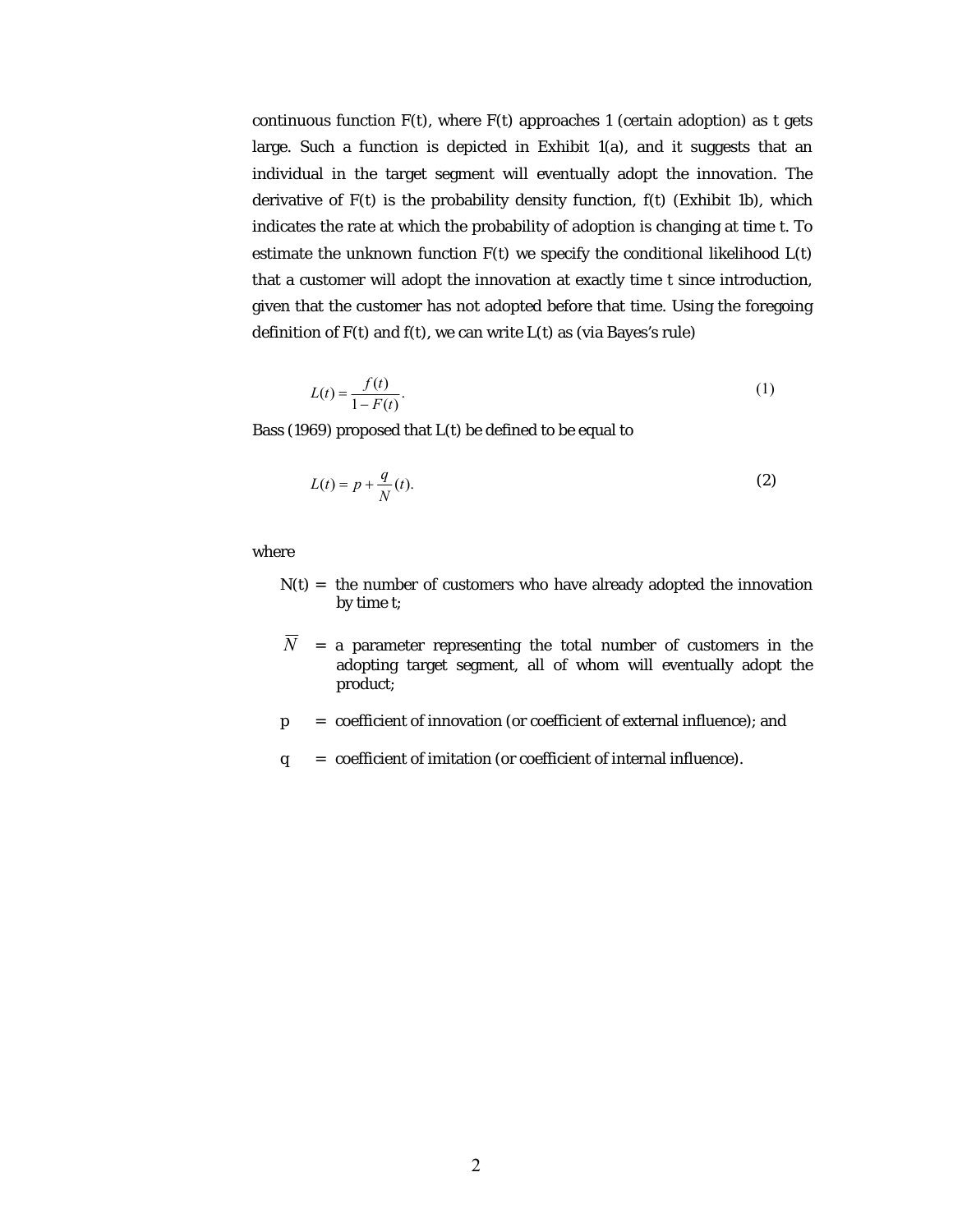continuous function  $F(t)$ , where  $F(t)$  approaches 1 (certain adoption) as *t* gets large. Such a function is depicted in Exhibit  $1(a)$ , and it suggests that an individual in the target segment will eventually adopt the innovation. The derivative of  $F(t)$  is the probability density function,  $f(t)$  (Exhibit 1b), which indicates the rate at which the probability of adoption is changing at time *t*. To estimate the unknown function  $F(t)$  we specify the conditional likelihood  $L(t)$ that a customer will adopt the innovation at exactly time *t* since introduction, given that the customer has not adopted before that time. Using the foregoing definition of  $F(t)$  and  $f(t)$ , we can write  $L(t)$  as (via Bayes's rule)

$$
L(t) = \frac{f(t)}{1 - F(t)}.\tag{1}
$$

Bass (1969) proposed that *L*(*t*) be defined to be equal to

$$
L(t) = p + \frac{q}{N}(t). \tag{2}
$$

where

- $N(t)$  = the number of customers who have already adopted the innovation by time *t*;
- $\overline{N}$  = a parameter representing the total number of customers in the adopting target segment, all of whom will eventually adopt the product;
- $p =$  coefficient of innovation (or coefficient of external influence); and
- *q* = coefficient of imitation (or coefficient of internal influence).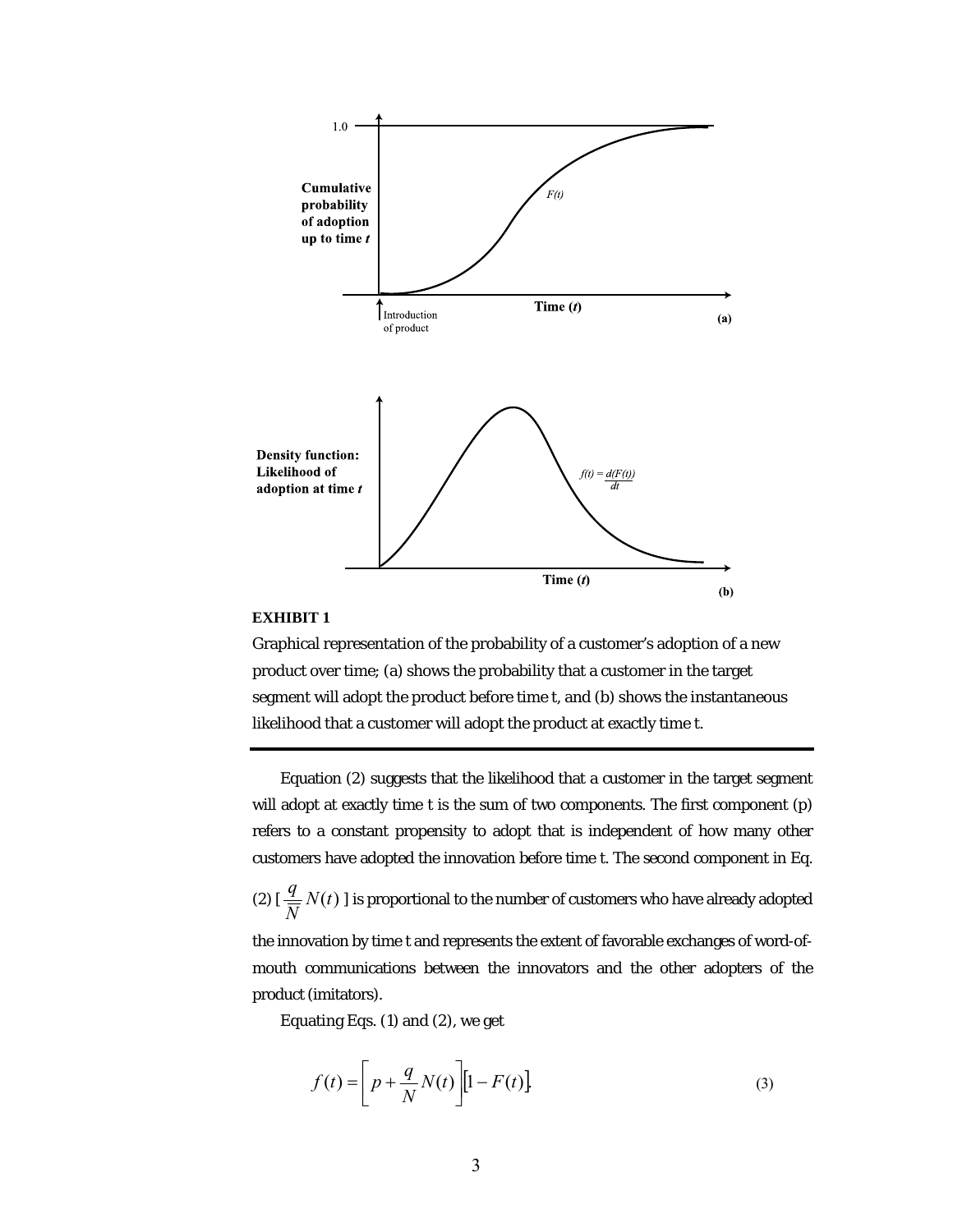

#### **EXHIBIT 1**

Graphical representation of the probability of a customer's adoption of a new product over time; (a) shows the probability that a customer in the target segment will adopt the product before time t, and (b) shows the instantaneous likelihood that a customer will adopt the product at exactly time t.

Equation (2) suggests that the likelihood that a customer in the target segment will adopt at exactly time *t* is the sum of two components. The first component (*p*) refers to a constant propensity to adopt that is independent of how many other customers have adopted the innovation before time *t.* The second component in Eq.

(2)  $[\frac{q}{\overline{N}} N(t)]$  is proportional to the number of customers who have already adopted

the innovation by time *t* and represents the extent of favorable exchanges of word-ofmouth communications between the innovators and the other adopters of the product (imitators).

Equating Eqs. (1) and (2), we get

$$
f(t) = \left[ p + \frac{q}{N} N(t) \right] \left[ 1 - F(t) \right].
$$
 (3)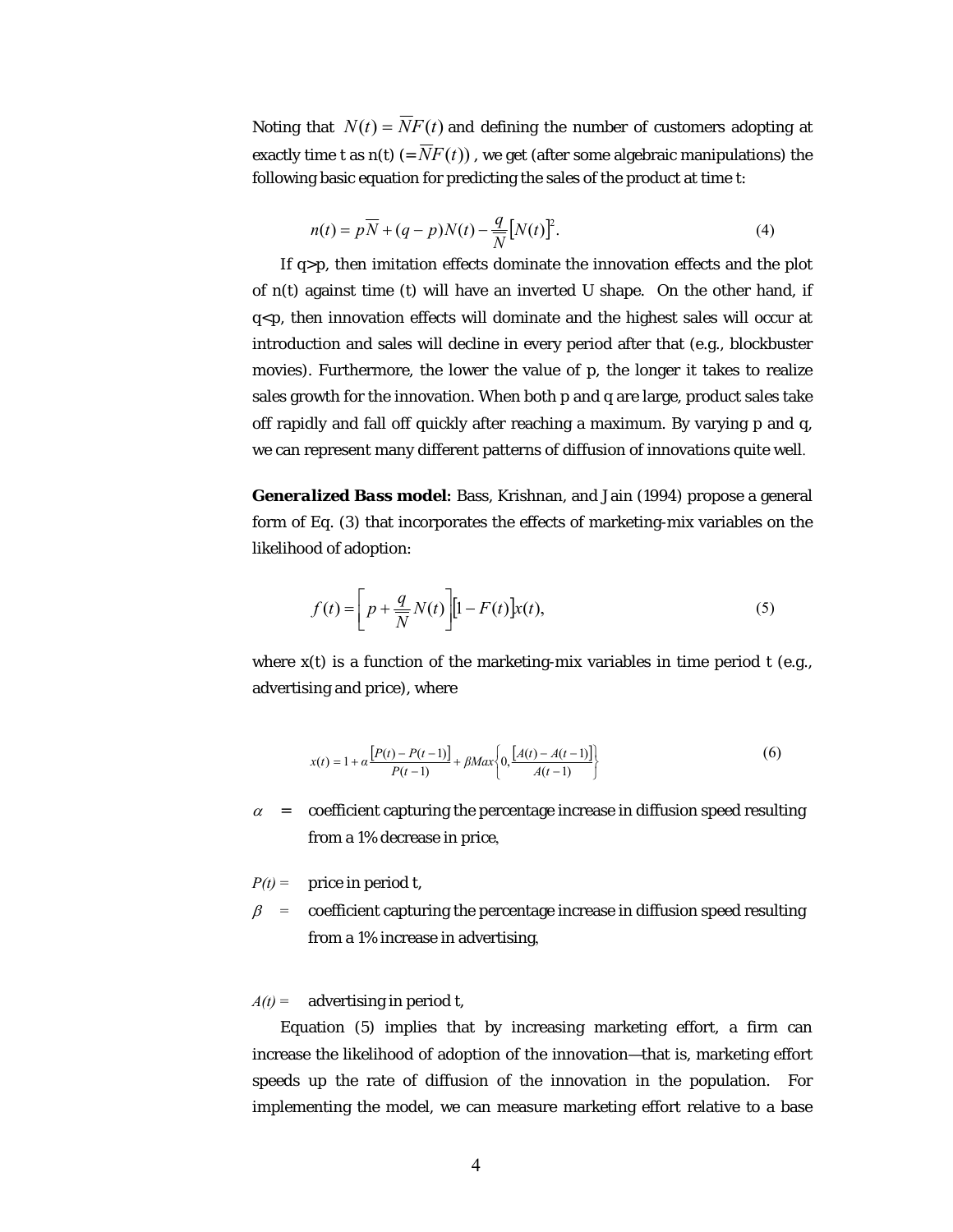Noting that  $N(t) = \overline{N}F(t)$  and defining the number of customers adopting at exactly time *t* as  $n(t)$  (=  $\overline{N}F(t)$ ), we get (after some algebraic manipulations) the following basic equation for predicting the sales of the product at time *t*:

$$
n(t) = p\overline{N} + (q - p)N(t) - \frac{q}{\overline{N}}[N(t)]^2.
$$
 (4)

If  $q$ >*p*, then imitation effects dominate the innovation effects and the plot of *n*(*t*) against time (*t*) will have an inverted U shape. On the other hand, if  $q < p$ , then innovation effects will dominate and the highest sales will occur at introduction and sales will decline in every period after that (e.g., blockbuster movies). Furthermore, the lower the value of *p*, the longer it takes to realize sales growth for the innovation. When both *p* and *q* are large, product sales take off rapidly and fall off quickly after reaching a maximum. By varying *p* and *q*, we can represent many different patterns of diffusion of innovations quite well.

*Generalized Bass model***:** Bass, Krishnan, and Jain (1994) propose a general form of Eq. (3) that incorporates the effects of marketing-mix variables on the likelihood of adoption:

$$
f(t) = \left[ p + \frac{q}{N} N(t) \right] \left[ 1 - F(t) \right] x(t), \tag{5}
$$

where  $x(t)$  is a function of the marketing-mix variables in time period t (e.g., advertising and price), where

$$
x(t) = 1 + \alpha \frac{[P(t) - P(t-1)]}{P(t-1)} + \beta Max \left\{ 0, \frac{[A(t) - A(t-1)]}{A(t-1)} \right\}
$$
(6)

 $\alpha$  = coefficient capturing the percentage increase in diffusion speed resulting from a 1% decrease in price,

 $P(t) =$  price in period *t*,

 $\beta$  = coefficient capturing the percentage increase in diffusion speed resulting from a 1% increase in advertising,

 $A(t) =$  advertising in period *t*,

Equation (5) implies that by increasing marketing effort, a firm can increase the likelihood of adoption of the innovation—that is, marketing effort speeds up the rate of diffusion of the innovation in the population. For implementing the model, we can measure marketing effort relative to a base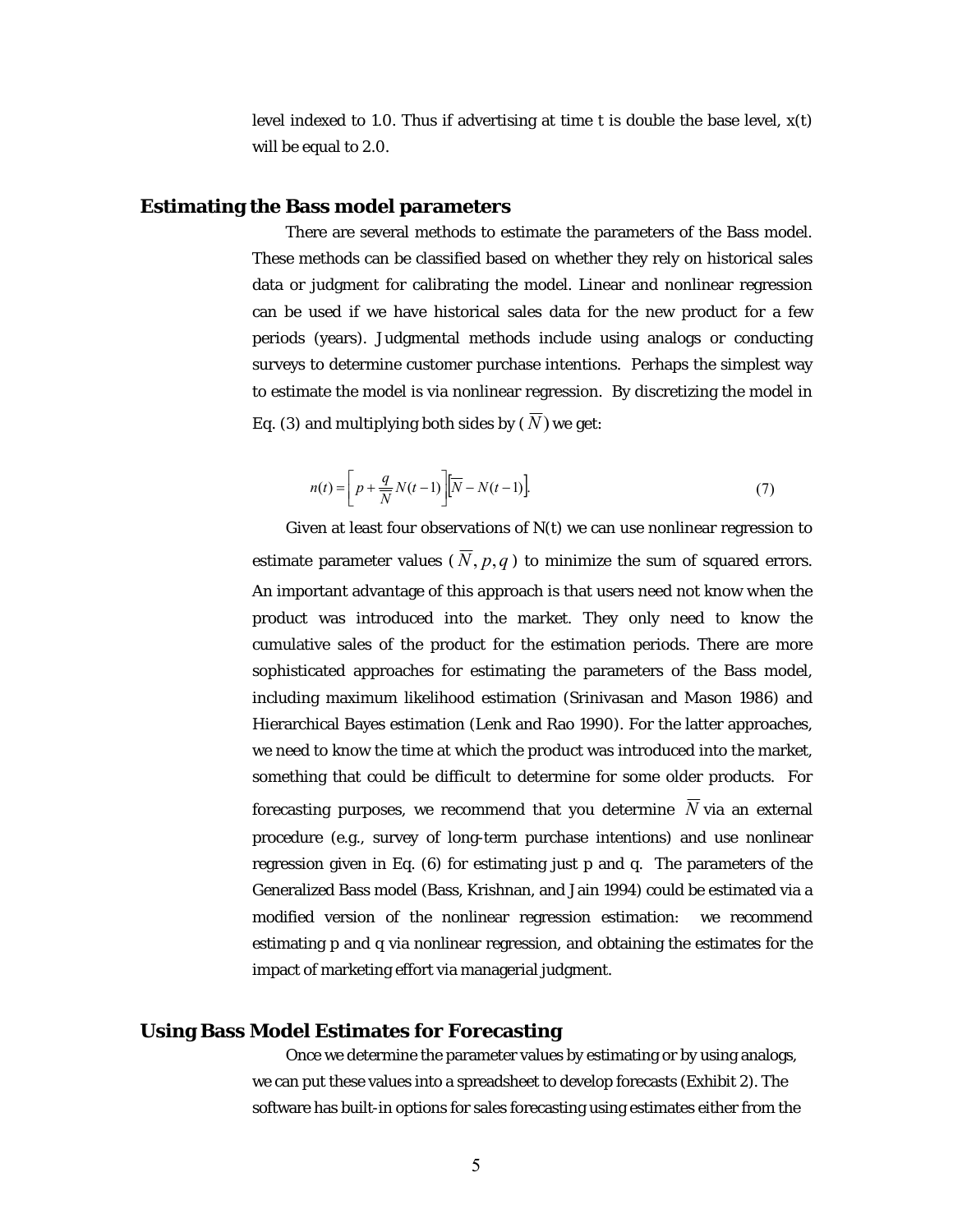level indexed to 1.0. Thus if advertising at time *t* is double the base level, *x*(*t*) will be equal to 2.0.

#### **Estimating the Bass model parameters**

There are several methods to estimate the parameters of the Bass model. These methods can be classified based on whether they rely on historical sales data or judgment for calibrating the model. Linear and nonlinear regression can be used if we have historical sales data for the new product for a few periods (years). Judgmental methods include using analogs or conducting surveys to determine customer purchase intentions. Perhaps the simplest way to estimate the model is via nonlinear regression. By discretizing the model in Eq. (3) and multiplying both sides by  $(\overline{N})$  we get:

$$
n(t) = \left[ p + \frac{q}{\overline{N}} N(t-1) \right] \left[ \overline{N} - N(t-1) \right].
$$
 (7)

Given at least four observations of *N*(*t*) we can use nonlinear regression to estimate parameter values ( $\overline{N}$ ,  $p,q$ ) to minimize the sum of squared errors. An important advantage of this approach is that users need not know *when* the product was introduced into the market. They only need to know the cumulative sales of the product for the estimation periods. There are more sophisticated approaches for estimating the parameters of the Bass model, including maximum likelihood estimation (Srinivasan and Mason 1986) and Hierarchical Bayes estimation (Lenk and Rao 1990). For the latter approaches, we need to know the time at which the product was introduced into the market, something that could be difficult to determine for some older products. For forecasting purposes, we recommend that you determine  $\overline{N}$  via an external procedure (e.g., survey of long-term purchase intentions) and use nonlinear regression given in Eq. (6) for estimating just p and q. The parameters of the Generalized Bass model (Bass, Krishnan, and Jain 1994) could be estimated via a modified version of the nonlinear regression estimation: we recommend estimating p and q via nonlinear regression, and obtaining the estimates for the impact of marketing effort via managerial judgment.

#### **Using Bass Model Estimates for Forecasting**

Once we determine the parameter values by estimating or by using analogs, we can put these values into a spreadsheet to develop forecasts (Exhibit 2). The software has built-in options for sales forecasting using estimates either from the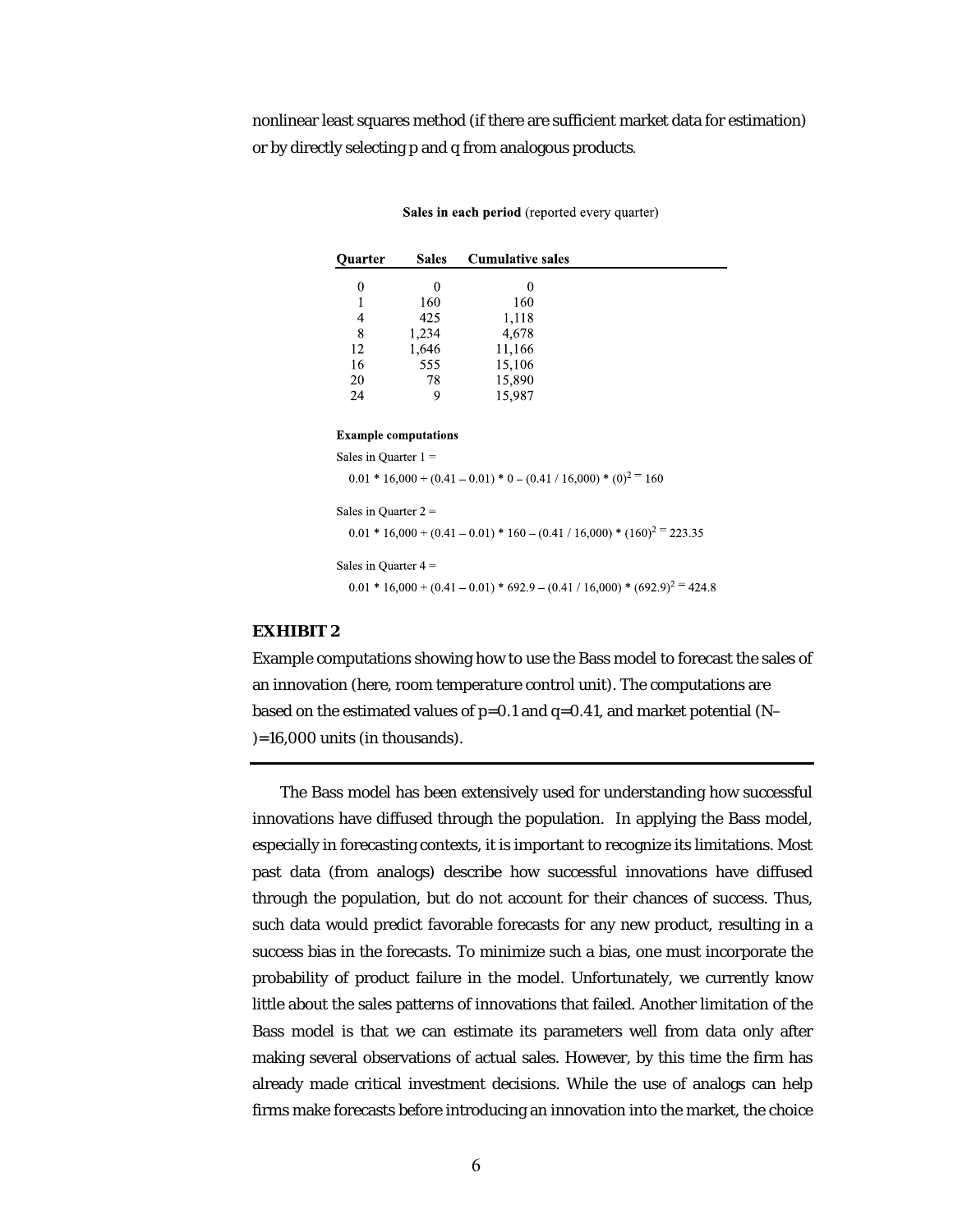nonlinear least squares method (if there are sufficient market data for estimation) or by directly selecting *p* and *q* from analogous products.

| ∼−−−−−−                     |          |        |                                                                                 |  |  |
|-----------------------------|----------|--------|---------------------------------------------------------------------------------|--|--|
| 0                           | $\Omega$ | 0      |                                                                                 |  |  |
| 1                           | 160      | 160    |                                                                                 |  |  |
| 4                           | 425      | 1,118  |                                                                                 |  |  |
| 8                           | 1,234    | 4,678  |                                                                                 |  |  |
| 12                          | 1,646    | 11,166 |                                                                                 |  |  |
| 16                          | 555      | 15,106 |                                                                                 |  |  |
| 20                          | 78       | 15,890 |                                                                                 |  |  |
| 24                          | 9        | 15,987 |                                                                                 |  |  |
|                             |          |        |                                                                                 |  |  |
| <b>Example computations</b> |          |        |                                                                                 |  |  |
| Sales in Ouarter $1 =$      |          |        |                                                                                 |  |  |
|                             |          |        | $0.01 * 16,000 + (0.41 - 0.01) * 0 - (0.41 / 16,000) * (0)^{2} = 160$           |  |  |
|                             |          |        |                                                                                 |  |  |
| Sales in Quarter $2 =$      |          |        |                                                                                 |  |  |
|                             |          |        | $0.01 * 16,000 + (0.41 - 0.01) * 160 - (0.41 / 16,000) * (160)^{2} = 223.35$    |  |  |
| Sales in Quarter $4 =$      |          |        |                                                                                 |  |  |
|                             |          |        | $0.01 * 16,000 + (0.41 - 0.01) * 692.9 - (0.41 / 16,000) * (692.9)^{2} = 424.8$ |  |  |

| Sales in each period (reported every quarter) |  |  |
|-----------------------------------------------|--|--|
|-----------------------------------------------|--|--|

**Cumulative sales** 

#### **EXHIBIT 2**

**Ouarter** 

**Sales** 

Example computations showing how to use the Bass model to forecast the sales of an innovation (here, room temperature control unit). The computations are based on the estimated values of  $p=0.1$  and  $q=0.41$ , and market potential (N–  $)=16,000$  units (in thousands).

The Bass model has been extensively used for understanding how successful innovations have diffused through the population. In applying the Bass model, especially in forecasting contexts, it is important to recognize its limitations. Most past data (from analogs) describe how successful innovations have diffused through the population, but do not account for their chances of success. Thus, such data would predict favorable forecasts for any new product, resulting in a success bias in the forecasts. To minimize such a bias, one must incorporate the probability of product failure in the model. Unfortunately, we currently know little about the sales patterns of innovations that failed. Another limitation of the Bass model is that we can estimate its parameters well from data only after making several observations of actual sales. However, by this time the firm has already made critical investment decisions. While the use of analogs can help firms make forecasts before introducing an innovation into the market, the choice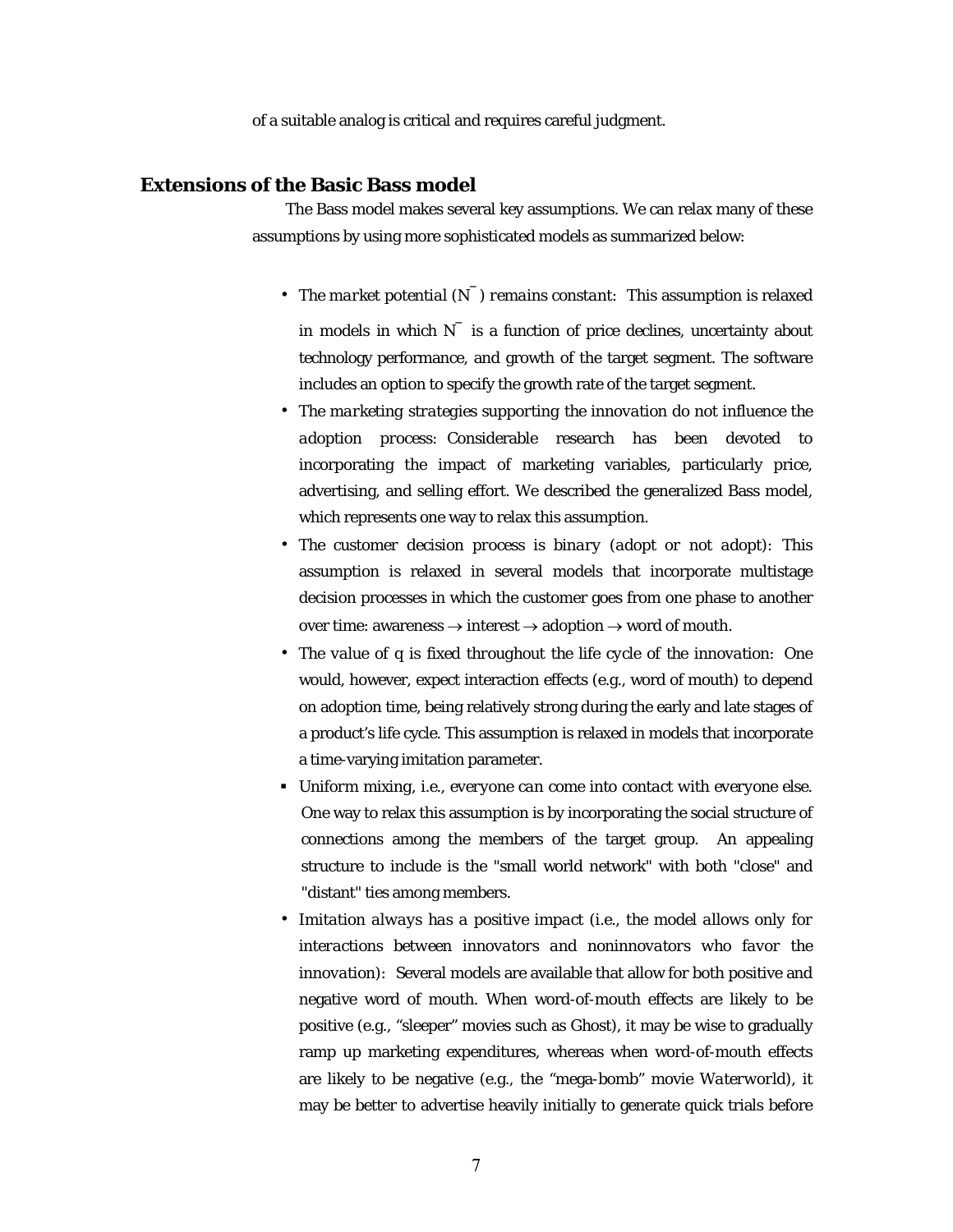of a suitable analog is critical and requires careful judgment.

#### **Extensions of the Basic Bass model**

The Bass model makes several key assumptions. We can relax many of these assumptions by using more sophisticated models as summarized below:

- *The market potential*  $(N)$  *remains constant*: This assumption is relaxed in models in which  $N^-$  is a function of price declines, uncertainty about technology performance, and growth of the target segment. The software includes an option to specify the growth rate of the target segment.
- *The marketing strategies supporting the innovation do not influence the adoption process*: Considerable research has been devoted to incorporating the impact of marketing variables, particularly price, advertising, and selling effort. We described the generalized Bass model, which represents one way to relax this assumption.
- *The customer decision process is binary (adopt or not adopt)*: This assumption is relaxed in several models that incorporate multistage decision processes in which the customer goes from one phase to another over time: awareness  $\rightarrow$  interest  $\rightarrow$  adoption  $\rightarrow$  word of mouth.
- *The value of q is fixed throughout the life cycle of the innovation*: One would, however, expect interaction effects (e.g., word of mouth) to depend on adoption time, being relatively strong during the early and late stages of a product's life cycle. This assumption is relaxed in models that incorporate a time-varying imitation parameter.
- *Uniform mixing, i.e., everyone can come into contact with everyone else*. One way to relax this assumption is by incorporating the social structure of connections among the members of the target group. An appealing structure to include is the "small world network" with both "close" and "distant" ties among members.
- *Imitation always has a positive impact (i.e., the model allows only for interactions between innovators and noninnovators who favor the innovation)*: Several models are available that allow for both positive and negative word of mouth. When word-of-mouth effects are likely to be positive (e.g., "sleeper" movies such as *Ghost*), it may be wise to gradually ramp up marketing expenditures, whereas when word-of-mouth effects are likely to be negative (e.g., the "mega-bomb" movie *Waterworld*), it may be better to advertise heavily initially to generate quick trials before